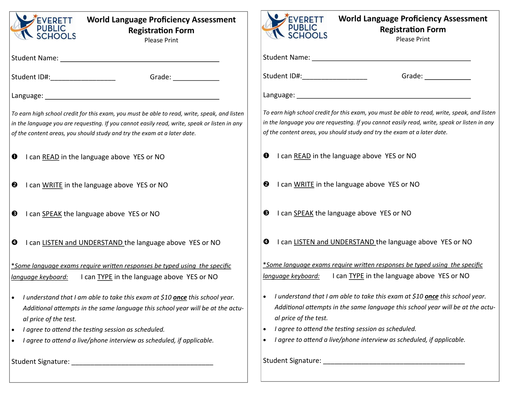

## **World Language Proficiency Assessment Registration Form**

Please Print

Student Name:

Student ID#:\_\_\_\_\_\_\_\_\_\_\_\_\_\_\_\_\_\_\_\_\_\_\_\_\_\_\_\_\_\_\_\_\_Grade: \_\_\_\_\_\_\_\_\_\_\_\_\_\_\_\_\_\_\_\_\_\_\_\_\_\_\_\_\_

Language:

*To earn high school credit for this exam, you must be able to read, write, speak, and listen in the language you are requesting. If you cannot easily read, write, speak or listen in any of the content areas, you should study and try the exam at a later date.*

- **O** I can READ in the language above YES or NO
- **2** I can WRITE in the language above YES or NO
- **8** I can SPEAK the language above YES or NO
- **O** I can LISTEN and UNDERSTAND the language above YES or NO

\**Some language exams require written responses be typed using the specific language keyboard:* I can TYPE in the language above YES or NO

- *I understand that I am able to take this exam at \$10 once this school year. Additional attempts in the same language this school year will be at the actual price of the test.*
- *I agree to attend the testing session as scheduled.*
- *I agree to attend a live/phone interview as scheduled, if applicable.*

Student Signature: \_\_\_\_\_\_\_\_\_\_\_\_\_\_\_\_\_\_\_\_\_\_\_\_\_\_\_\_\_\_\_\_\_\_\_\_\_



## **World Language Proficiency Assessment Registration Form**

Please Print

Student Name:

Student ID#: example and student iD#:

Language:

*To earn high school credit for this exam, you must be able to read, write, speak, and listen in the language you are requesting. If you cannot easily read, write, speak or listen in any of the content areas, you should study and try the exam at a later date.*

- **O** I can READ in the language above YES or NO
- **2** I can WRITE in the language above YES or NO
- $\Theta$  I can SPEAK the language above YES or NO
- **O** I can LISTEN and UNDERSTAND the language above YES or NO

\**Some language exams require written responses be typed using the specific language keyboard:* I can TYPE in the language above YES or NO

- *I understand that I am able to take this exam at \$10 once this school year. Additional attempts in the same language this school year will be at the actual price of the test.*
- *I agree to attend the testing session as scheduled.*
- *I agree to attend a live/phone interview as scheduled, if applicable.*

Student Signature: \_\_\_\_\_\_\_\_\_\_\_\_\_\_\_\_\_\_\_\_\_\_\_\_\_\_\_\_\_\_\_\_\_\_\_\_\_